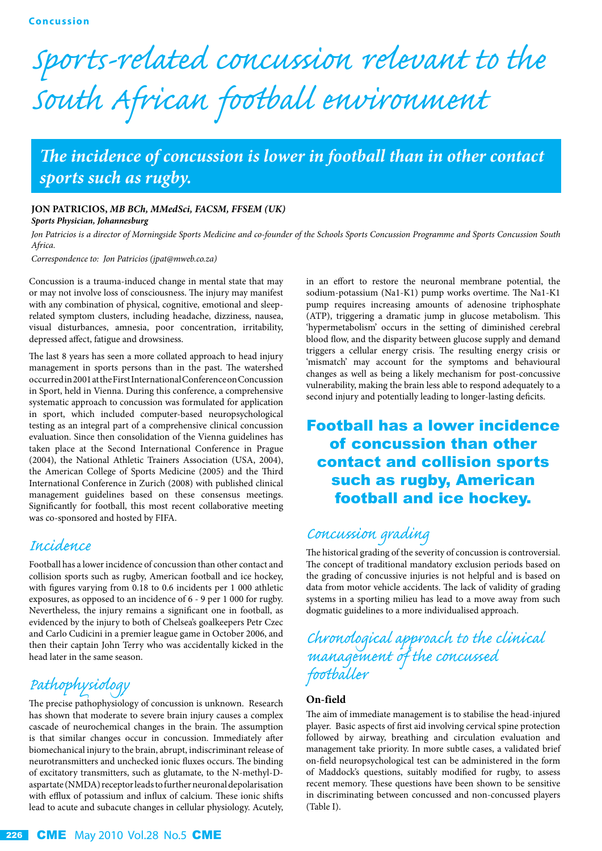# *Sports-related concussion relevant to the South African football environment*

## *The incidence of concussion is lower in football than in other contact sports such as rugby.*

#### **JON PATRICIOS,** *MB BCh, MMedSci, FACSM, FFSEM (UK)*

*Sports Physician, Johannesburg* 

*Jon Patricios is a director of Morningside Sports Medicine and co-founder of the Schools Sports Concussion Programme and Sports Concussion South Africa.*

*Correspondence to: Jon Patricios (jpat@mweb.co.za)*

Concussion is a trauma-induced change in mental state that may or may not involve loss of consciousness. The injury may manifest with any combination of physical, cognitive, emotional and sleeprelated symptom clusters, including headache, dizziness, nausea, visual disturbances, amnesia, poor concentration, irritability, depressed affect, fatigue and drowsiness.

The last 8 years has seen a more collated approach to head injury management in sports persons than in the past. The watershed occurred in 2001 at the First International Conference on Concussion in Sport, held in Vienna. During this conference, a comprehensive systematic approach to concussion was formulated for application in sport, which included computer-based neuropsychological testing as an integral part of a comprehensive clinical concussion evaluation. Since then consolidation of the Vienna guidelines has taken place at the Second International Conference in Prague (2004), the National Athletic Trainers Association (USA, 2004), the American College of Sports Medicine (2005) and the Third International Conference in Zurich (2008) with published clinical management guidelines based on these consensus meetings. Significantly for football, this most recent collaborative meeting was co-sponsored and hosted by FIFA.

#### *Incidence*

Football has a lower incidence of concussion than other contact and collision sports such as rugby, American football and ice hockey, with figures varying from 0.18 to 0.6 incidents per 1 000 athletic exposures, as opposed to an incidence of 6 - 9 per 1 000 for rugby. Nevertheless, the injury remains a significant one in football, as evidenced by the injury to both of Chelsea's goalkeepers Petr Czec and Carlo Cudicini in a premier league game in October 2006, and then their captain John Terry who was accidentally kicked in the head later in the same season.

## *Pathophysiology*

The precise pathophysiology of concussion is unknown. Research has shown that moderate to severe brain injury causes a complex cascade of neurochemical changes in the brain. The assumption is that similar changes occur in concussion. Immediately after biomechanical injury to the brain, abrupt, indiscriminant release of neurotransmitters and unchecked ionic fluxes occurs. The binding of excitatory transmitters, such as glutamate, to the N-methyl-Daspartate (NMDA) receptor leads to further neuronal depolarisation with efflux of potassium and influx of calcium. These ionic shifts lead to acute and subacute changes in cellular physiology. Acutely,

in an effort to restore the neuronal membrane potential, the sodium-potassium (Na1-K1) pump works overtime. The Na1-K1 pump requires increasing amounts of adenosine triphosphate (ATP), triggering a dramatic jump in glucose metabolism. This 'hypermetabolism' occurs in the setting of diminished cerebral blood flow, and the disparity between glucose supply and demand triggers a cellular energy crisis. The resulting energy crisis or 'mismatch' may account for the symptoms and behavioural changes as well as being a likely mechanism for post-concussive vulnerability, making the brain less able to respond adequately to a second injury and potentially leading to longer-lasting deficits.

## Football has a lower incidence of concussion than other contact and collision sports such as rugby, American football and ice hockey.

## *Concussion grading*

The historical grading of the severity of concussion is controversial. The concept of traditional mandatory exclusion periods based on the grading of concussive injuries is not helpful and is based on data from motor vehicle accidents. The lack of validity of grading systems in a sporting milieu has lead to a move away from such dogmatic guidelines to a more individualised approach.

## *Chronological approach to the clinical management of the concussed footballer*

#### **On-field**

The aim of immediate management is to stabilise the head-injured player. Basic aspects of first aid involving cervical spine protection followed by airway, breathing and circulation evaluation and management take priority. In more subtle cases, a validated brief on-field neuropsychological test can be administered in the form of Maddock's questions, suitably modified for rugby, to assess recent memory. These questions have been shown to be sensitive in discriminating between concussed and non-concussed players (Table I).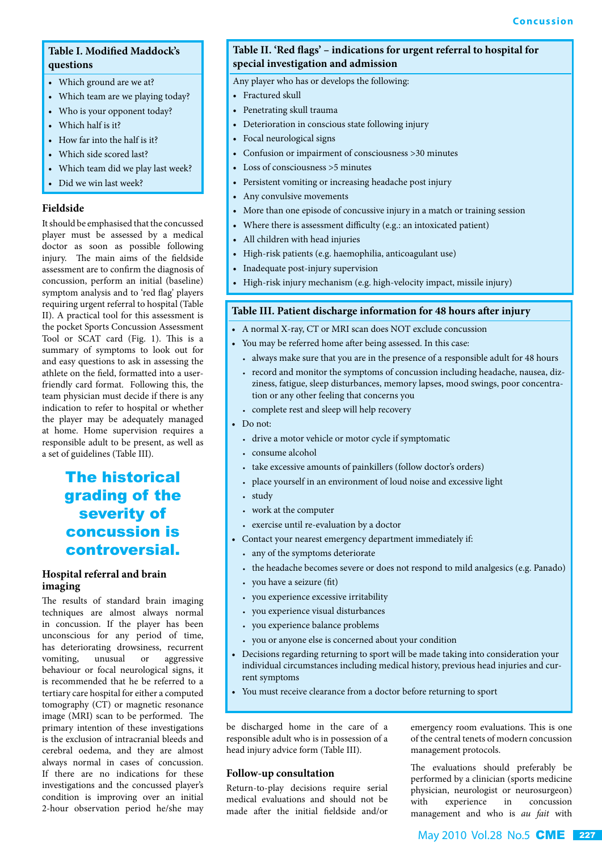#### **Table I. Modified Maddock's questions**

- Which ground are we at?
- Which team are we playing today?
- Who is your opponent today?
- Which half is it?
- How far into the half is it?
- Which side scored last?
- Which team did we play last week?
- Did we win last week?

#### **Fieldside**

It should be emphasised that the concussed player must be assessed by a medical doctor as soon as possible following injury. The main aims of the fieldside assessment are to confirm the diagnosis of concussion, perform an initial (baseline) symptom analysis and to 'red flag' players requiring urgent referral to hospital (Table II). A practical tool for this assessment is the pocket Sports Concussion Assessment Tool or SCAT card (Fig. 1). This is a summary of symptoms to look out for and easy questions to ask in assessing the athlete on the field, formatted into a userfriendly card format. Following this, the team physician must decide if there is any indication to refer to hospital or whether the player may be adequately managed at home. Home supervision requires a responsible adult to be present, as well as a set of guidelines (Table III).

## The historical grading of the severity of concussion is controversial.

#### **Hospital referral and brain imaging**

The results of standard brain imaging techniques are almost always normal in concussion. If the player has been unconscious for any period of time, has deteriorating drowsiness, recurrent vomiting, unusual or aggressive behaviour or focal neurological signs, it is recommended that he be referred to a tertiary care hospital for either a computed tomography (CT) or magnetic resonance image (MRI) scan to be performed. The primary intention of these investigations is the exclusion of intracranial bleeds and cerebral oedema, and they are almost always normal in cases of concussion. If there are no indications for these investigations and the concussed player's condition is improving over an initial 2-hour observation period he/she may

#### **Table II. 'Red flags' – indications for urgent referral to hospital for special investigation and admission**

Any player who has or develops the following:

- Fractured skull
- Penetrating skull trauma
- Deterioration in conscious state following injury
- Focal neurological signs
- Confusion or impairment of consciousness >30 minutes
- Loss of consciousness >5 minutes
- Persistent vomiting or increasing headache post injury
- Any convulsive movements
- More than one episode of concussive injury in a match or training session
- Where there is assessment difficulty (e.g.: an intoxicated patient)
- All children with head injuries
- High-risk patients (e.g. haemophilia, anticoagulant use)
- Inadequate post-injury supervision
- High-risk injury mechanism (e.g. high-velocity impact, missile injury)

#### **Table III. Patient discharge information for 48 hours after injury**

- A normal X-ray, CT or MRI scan does NOT exclude concussion
- You may be referred home after being assessed. In this case:
	- always make sure that you are in the presence of a responsible adult for 48 hours
	- record and monitor the symptoms of concussion including headache, nausea, dizziness, fatigue, sleep disturbances, memory lapses, mood swings, poor concentration or any other feeling that concerns you
	- complete rest and sleep will help recovery
- Do not:
	- drive a motor vehicle or motor cycle if symptomatic
	- consume alcohol
	- take excessive amounts of painkillers (follow doctor's orders)
	- place yourself in an environment of loud noise and excessive light
	- study
	- work at the computer
	- exercise until re-evaluation by a doctor
- Contact your nearest emergency department immediately if:
	- any of the symptoms deteriorate
	- the headache becomes severe or does not respond to mild analgesics (e.g. Panado)
	- you have a seizure (fit)
	- you experience excessive irritability
	- you experience visual disturbances
	- you experience balance problems
	- you or anyone else is concerned about your condition
- Decisions regarding returning to sport will be made taking into consideration your individual circumstances including medical history, previous head injuries and current symptoms
- You must receive clearance from a doctor before returning to sport

be discharged home in the care of a responsible adult who is in possession of a head injury advice form (Table III).

#### **Follow-up consultation**

Return-to-play decisions require serial medical evaluations and should not be made after the initial fieldside and/or

emergency room evaluations. This is one of the central tenets of modern concussion management protocols.

The evaluations should preferably be performed by a clinician (sports medicine physician, neurologist or neurosurgeon) with experience in concussion management and who is *au fait* with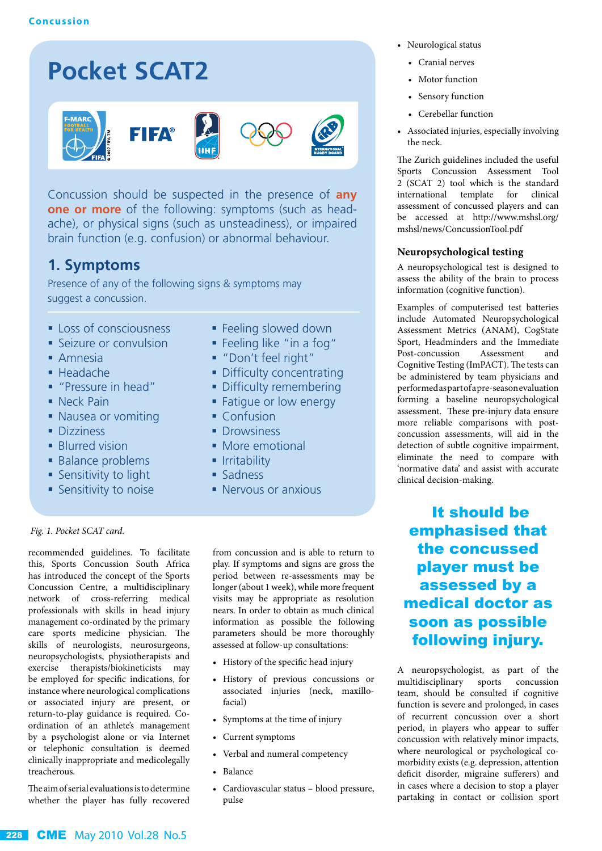## **Pocket SCAT2**









Concussion should be suspected in the presence of **any one or more** of the following: symptoms (such as headache), or physical signs (such as unsteadiness), or impaired brain function (e.g. confusion) or abnormal behaviour.

## **1. Symptoms**

Presence of any of the following signs & symptoms may suggest a concussion.

- **Loss of consciousness**
- **Seizure or convulsion**
- Amnesia
- Headache
- "Pressure in head"
- Neck Pain
- Nausea or vomiting
- **Dizziness**
- **Blurred vision**
- **Balance problems**
- **Sensitivity to light**
- **Sensitivity to noise**
- **Feeling slowed down**
- Feeling like "in a fog"
- "Don't feel right"
- Difficulty concentrating
- **Difficulty remembering**
- **Fatique or low energy**
- Confusion
- Drowsiness
- More emotional
- $\blacksquare$  Irritability
- Sadness
- **Nervous or anxious**

#### *Fig. 1. Pocket SCAT card.*

recommended guidelines. To facilitate this, Sports Concussion South Africa has introduced the concept of the Sports Concussion Centre, a multidisciplinary network of cross-referring medical professionals with skills in head injury management co-ordinated by the primary care sports medicine physician. The skills of neurologists, neurosurgeons, neuropsychologists, physiotherapists and exercise therapists/biokineticists may be employed for specific indications, for instance where neurological complications or associated injury are present, or return-to-play guidance is required. Coordination of an athlete's management by a psychologist alone or via Internet or telephonic consultation is deemed clinically inappropriate and medicolegally treacherous.

The aim of serial evaluations is to determine whether the player has fully recovered from concussion and is able to return to play. If symptoms and signs are gross the period between re-assessments may be longer (about 1 week), while more frequent visits may be appropriate as resolution nears. In order to obtain as much clinical information as possible the following parameters should be more thoroughly assessed at follow-up consultations:

- History of the specific head injury
- History of previous concussions or associated injuries (neck, maxillofacial)
- Symptoms at the time of injury
- Current symptoms
- Verbal and numeral competency
- Balance
- Cardiovascular status blood pressure, pulse
- Neurological status
	- Cranial nerves
	- Motor function
	- Sensory function
	- Cerebellar function
- Associated injuries, especially involving the neck.

The Zurich guidelines included the useful Sports Concussion Assessment Tool 2 (SCAT 2) tool which is the standard international template for clinical assessment of concussed players and can be accessed at http://www.mshsl.org/ mshsl/news/ConcussionTool.pdf

#### **Neuropsychological testing**

A neuropsychological test is designed to assess the ability of the brain to process information (cognitive function).

Examples of computerised test batteries include Automated Neuropsychological Assessment Metrics (ANAM), CogState Sport, Headminders and the Immediate Post-concussion Assessment and Cognitive Testing (ImPACT). The tests can be administered by team physicians and performed as part of a pre-season evaluation forming a baseline neuropsychological assessment. These pre-injury data ensure more reliable comparisons with postconcussion assessments, will aid in the detection of subtle cognitive impairment, eliminate the need to compare with 'normative data' and assist with accurate clinical decision-making.

 It should be emphasised that the concussed player must be assessed by a medical doctor as soon as possible following injury.

A neuropsychologist, as part of the multidisciplinary sports concussion team, should be consulted if cognitive function is severe and prolonged, in cases of recurrent concussion over a short period, in players who appear to suffer concussion with relatively minor impacts, where neurological or psychological comorbidity exists (e.g. depression, attention deficit disorder, migraine sufferers) and in cases where a decision to stop a player partaking in contact or collision sport